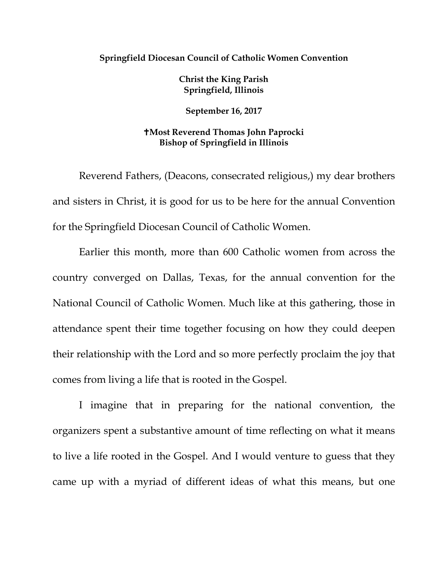## **Springfield Diocesan Council of Catholic Women Convention**

**Christ the King Parish Springfield, Illinois**

**September 16, 2017**

## **Most Reverend Thomas John Paprocki Bishop of Springfield in Illinois**

Reverend Fathers, (Deacons, consecrated religious,) my dear brothers and sisters in Christ, it is good for us to be here for the annual Convention for the Springfield Diocesan Council of Catholic Women.

Earlier this month, more than 600 Catholic women from across the country converged on Dallas, Texas, for the annual convention for the National Council of Catholic Women. Much like at this gathering, those in attendance spent their time together focusing on how they could deepen their relationship with the Lord and so more perfectly proclaim the joy that comes from living a life that is rooted in the Gospel.

I imagine that in preparing for the national convention, the organizers spent a substantive amount of time reflecting on what it means to live a life rooted in the Gospel. And I would venture to guess that they came up with a myriad of different ideas of what this means, but one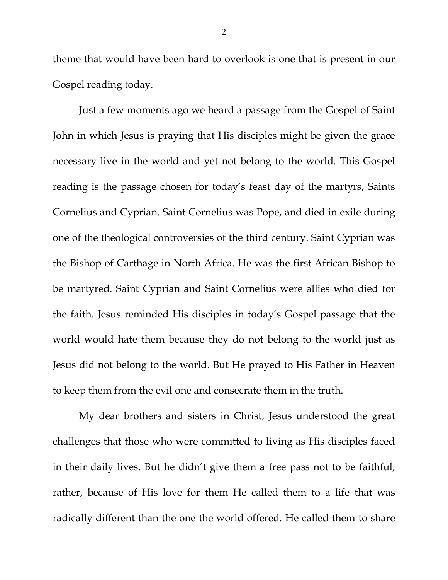theme that would have been hard to overlook is one that is present in our Gospel reading today.

Just a few moments ago we heard a passage from the Gospel of Saint John in which Jesus is praying that His disciples might be given the grace necessary live in the world and yet not belong to the world. This Gospel reading is the passage chosen for today's feast day of the martyrs, Saints Cornelius and Cyprian. Saint Cornelius was Pope, and died in exile during one of the theological controversies of the third century. Saint Cyprian was the Bishop of Carthage in North Africa. He was the first African Bishop to be martyred. Saint Cyprian and Saint Cornelius were allies who died for the faith. Jesus reminded His disciples in today's Gospel passage that the world would hate them because they do not belong to the world just as Jesus did not belong to the world. But He prayed to His Father in Heaven to keep them from the evil one and consecrate them in the truth.

My dear brothers and sisters in Christ, Jesus understood the great challenges that those who were committed to living as His disciples faced in their daily lives. But he didn't give them a free pass not to be faithful; rather, because of His love for them He called them to a life that was radically different than the one the world offered. He called them to share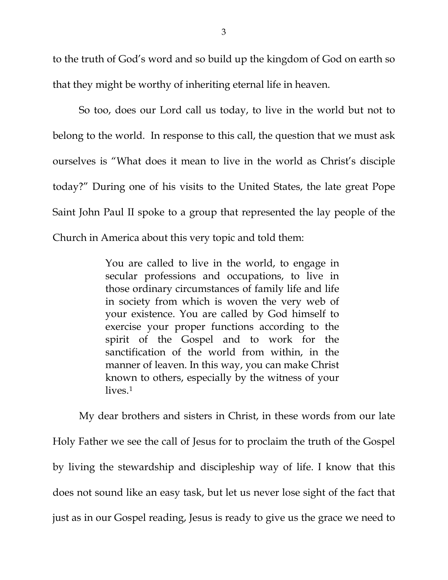to the truth of God's word and so build up the kingdom of God on earth so that they might be worthy of inheriting eternal life in heaven.

So too, does our Lord call us today, to live in the world but not to belong to the world. In response to this call, the question that we must ask ourselves is "What does it mean to live in the world as Christ's disciple today?" During one of his visits to the United States, the late great Pope Saint John Paul II spoke to a group that represented the lay people of the Church in America about this very topic and told them:

> You are called to live in the world, to engage in secular professions and occupations, to live in those ordinary circumstances of family life and life in society from which is woven the very web of your existence. You are called by God himself to exercise your proper functions according to the spirit of the Gospel and to work for the sanctification of the world from within, in the manner of leaven. In this way, you can make Christ known to others, especially by the witness of your lives.<sup>[1](#page-3-0)</sup>

My dear brothers and sisters in Christ, in these words from our late Holy Father we see the call of Jesus for to proclaim the truth of the Gospel by living the stewardship and discipleship way of life. I know that this does not sound like an easy task, but let us never lose sight of the fact that just as in our Gospel reading, Jesus is ready to give us the grace we need to